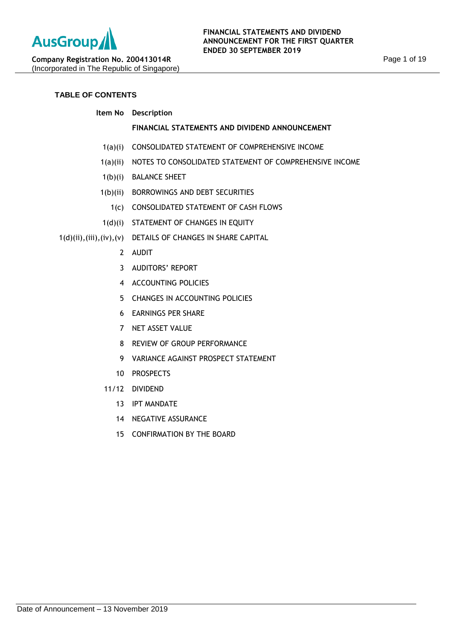# **TABLE OF CONTENTS**

# **Item No Description**

## **FINANCIAL STATEMENTS AND DIVIDEND ANNOUNCEMENT**

- 1(a)(i) CONSOLIDATED STATEMENT OF COMPREHENSIVE INCOME
- 1(a)(ii) NOTES TO CONSOLIDATED STATEMENT OF COMPREHENSIVE INCOME
- 1(b)(i) BALANCE SHEET
- 1(b)(ii) BORROWINGS AND DEBT SECURITIES
	- 1(c) CONSOLIDATED STATEMENT OF CASH FLOWS
- 1(d)(i) STATEMENT OF CHANGES IN EQUITY

# 1(d)(ii),(iii),(iv),(v) DETAILS OF CHANGES IN SHARE CAPITAL

- 2 AUDIT
- 3 AUDITORS' REPORT
- 4 ACCOUNTING POLICIES
- 5 CHANGES IN ACCOUNTING POLICIES
- 6 EARNINGS PER SHARE
- 7 NET ASSET VALUE
- 8 REVIEW OF GROUP PERFORMANCE
- 9 VARIANCE AGAINST PROSPECT STATEMENT
- 10 PROSPECTS
- 11/12 DIVIDEND
	- 13 IPT MANDATE
	- 14 NEGATIVE ASSURANCE
	- 15 CONFIRMATION BY THE BOARD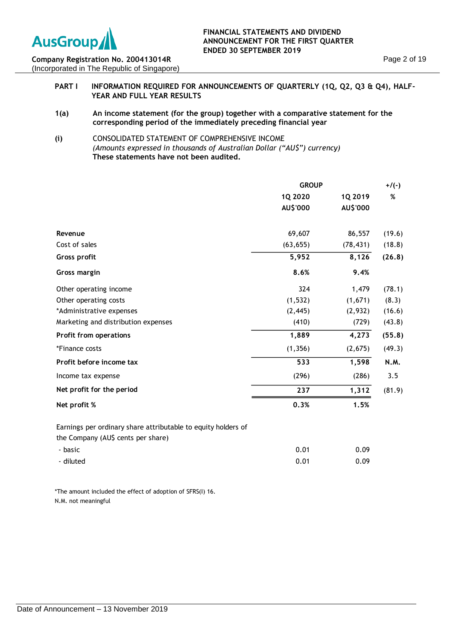

## **FINANCIAL STATEMENTS AND DIVIDEND ANNOUNCEMENT FOR THE FIRST QUARTER ENDED 30 SEPTEMBER 2019**

**Company Registration No. 200413014R** (Incorporated in The Republic of Singapore)

## **PART I INFORMATION REQUIRED FOR ANNOUNCEMENTS OF QUARTERLY (1Q, Q2, Q3 & Q4), HALF-YEAR AND FULL YEAR RESULTS**

- **1(a) An income statement (for the group) together with a comparative statement for the corresponding period of the immediately preceding financial year**
- **(i)** CONSOLIDATED STATEMENT OF COMPREHENSIVE INCOME *(Amounts expressed in thousands of Australian Dollar ("AU\$") currency)* **These statements have not been audited.**

|                                                                                                     | <b>GROUP</b> |           | $+/(-)$ |
|-----------------------------------------------------------------------------------------------------|--------------|-----------|---------|
|                                                                                                     | 1Q 2020      | 1Q 2019   | %       |
|                                                                                                     | AU\$'000     | AU\$'000  |         |
| Revenue                                                                                             | 69,607       | 86,557    | (19.6)  |
| Cost of sales                                                                                       | (63, 655)    | (78, 431) | (18.8)  |
| Gross profit                                                                                        | 5,952        | 8,126     | (26.8)  |
| <b>Gross margin</b>                                                                                 | 8.6%         | 9.4%      |         |
| Other operating income                                                                              | 324          | 1,479     | (78.1)  |
| Other operating costs                                                                               | (1, 532)     | (1,671)   | (8.3)   |
| *Administrative expenses                                                                            | (2, 445)     | (2,932)   | (16.6)  |
| Marketing and distribution expenses                                                                 | (410)        | (729)     | (43.8)  |
| Profit from operations                                                                              | 1,889        | 4,273     | (55.8)  |
| *Finance costs                                                                                      | (1, 356)     | (2,675)   | (49.3)  |
| Profit before income tax                                                                            | 533          | 1,598     | N.M.    |
| Income tax expense                                                                                  | (296)        | (286)     | 3.5     |
| Net profit for the period                                                                           | 237          | 1,312     | (81.9)  |
| Net profit %                                                                                        | 0.3%         | 1.5%      |         |
| Earnings per ordinary share attributable to equity holders of<br>the Company (AU\$ cents per share) |              |           |         |
| - basic                                                                                             | 0.01         | 0.09      |         |
| - diluted                                                                                           | 0.01         | 0.09      |         |

\*The amount included the effect of adoption of SFRS(I) 16. N.M. not meaningful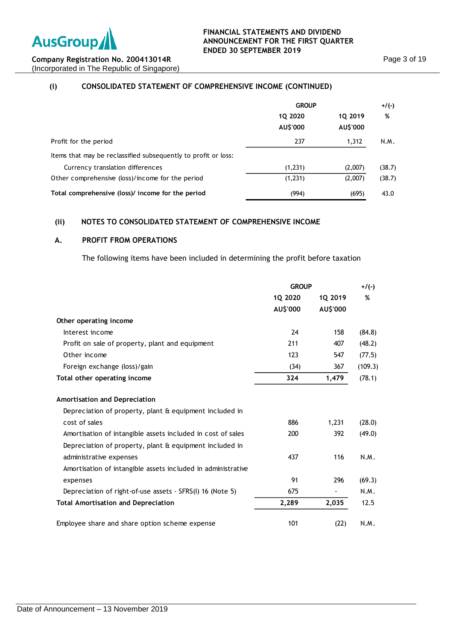

# **(i) CONSOLIDATED STATEMENT OF COMPREHENSIVE INCOME (CONTINUED)**

|                                                                | <b>GROUP</b>        |                     | $+/(-)$ |  |
|----------------------------------------------------------------|---------------------|---------------------|---------|--|
|                                                                | 1Q 2020<br>AU\$'000 | 10 2019<br>AU\$'000 | %       |  |
| Profit for the period                                          | 237                 | 1,312               | N.M.    |  |
| Items that may be reclassified subsequently to profit or loss: |                     |                     |         |  |
| Currency translation differences                               | (1,231)             | (2,007)             | (38.7)  |  |
| Other comprehensive (loss)/income for the period               | (1,231)             | (2,007)             | (38.7)  |  |
| Total comprehensive (loss)/ income for the period              | (994)               | (695)               | 43.0    |  |

# **(ii) NOTES TO CONSOLIDATED STATEMENT OF COMPREHENSIVE INCOME**

## **A. PROFIT FROM OPERATIONS**

The following items have been included in determining the profit before taxation

|                                                              | <b>GROUP</b> |          | $+$ /(-) |
|--------------------------------------------------------------|--------------|----------|----------|
|                                                              | 1Q 2020      | 10 2019  | %        |
|                                                              | AU\$'000     | AU\$'000 |          |
| Other operating income                                       |              |          |          |
| Interest income                                              | 24           | 158      | (84.8)   |
| Profit on sale of property, plant and equipment              | 211          | 407      | (48.2)   |
| Other income                                                 | 123          | 547      | (77.5)   |
| Foreign exchange (loss)/gain                                 | (34)         | 367      | (109.3)  |
| Total other operating income                                 | 324          | 1,479    | (78.1)   |
| Amortisation and Depreciation                                |              |          |          |
| Depreciation of property, plant & equipment included in      |              |          |          |
| cost of sales                                                | 886          | 1,231    | (28.0)   |
| Amortisation of intangible assets included in cost of sales  | 200          | 392      | (49.0)   |
| Depreciation of property, plant & equipment included in      |              |          |          |
| administrative expenses                                      | 437          | 116      | N.M.     |
| Amortisation of intangible assets included in administrative |              |          |          |
| expenses                                                     | 91           | 296      | (69.3)   |
| Depreciation of right-of-use assets - SFRS(I) 16 (Note 5)    | 675          |          | N.M.     |
| <b>Total Amortisation and Depreciation</b>                   | 2,289        | 2,035    | 12.5     |
| Employee share and share option scheme expense               | 101          | (22)     | N.M.     |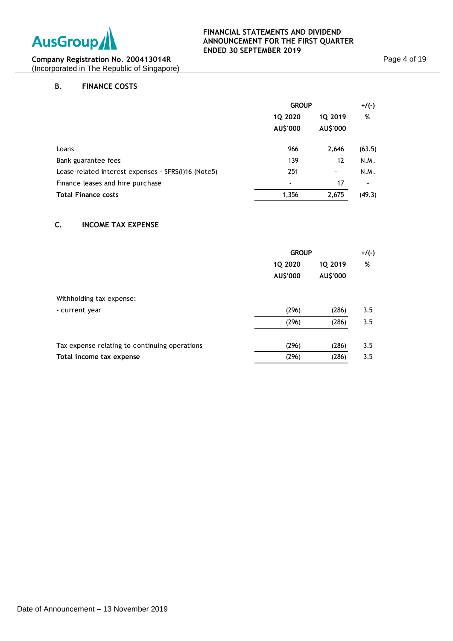

# **B. FINANCE COSTS**

|                                                     | <b>GROUP</b>       |                | $+/(-)$ |  |   |
|-----------------------------------------------------|--------------------|----------------|---------|--|---|
|                                                     | 1Q 2020<br>1Q 2019 |                |         |  | % |
|                                                     | AU\$'000           | AU\$'000       |         |  |   |
| Loans                                               | 966                | 2,646          | (63.5)  |  |   |
| Bank guarantee fees                                 | 139                | 12             | N.M.    |  |   |
| Lease-related interest expenses - SFRS(I)16 (Note5) | 251                | $\blacksquare$ | N.M.    |  |   |
| Finance leases and hire purchase                    |                    | 17             |         |  |   |
| <b>Total Finance costs</b>                          | 1,356              | 2,675          | (49.3)  |  |   |

# **C. INCOME TAX EXPENSE**

|                                               | <b>GROUP</b>        |                     | $+/(-)$ |  |
|-----------------------------------------------|---------------------|---------------------|---------|--|
|                                               | 1Q 2020<br>AU\$'000 | 1Q 2019<br>AU\$'000 | %       |  |
| Withholding tax expense:                      |                     |                     |         |  |
| - current year                                | (296)               | (286)               | 3.5     |  |
|                                               | (296)               | (286)               | 3.5     |  |
| Tax expense relating to continuing operations | (296)               | (286)               | 3.5     |  |
| Total income tax expense                      | (296)               | (286)               | 3.5     |  |
|                                               |                     |                     |         |  |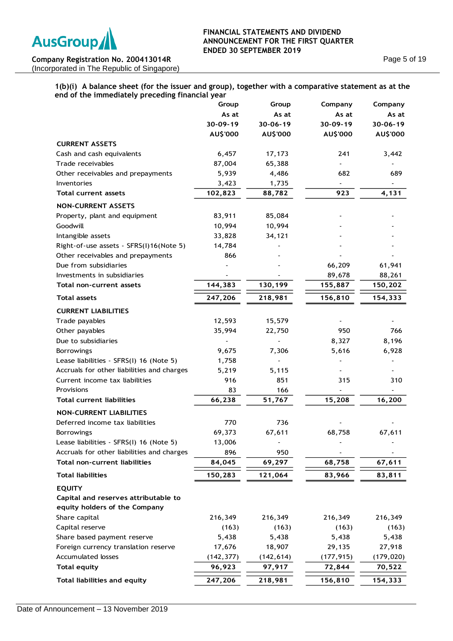

## **FINANCIAL STATEMENTS AND DIVIDEND ANNOUNCEMENT FOR THE FIRST QUARTER ENDED 30 SEPTEMBER 2019**

**Company Registration No. 200413014R** (Incorporated in The Republic of Singapore) Page 5 of 19

## **1(b)(i) A balance sheet (for the issuer and group), together with a comparative statement as at the end of the immediately preceding financial year**

|                                            | Group      | Group          | Company    | Company    |
|--------------------------------------------|------------|----------------|------------|------------|
|                                            | As at      | As at          | As at      | As at      |
|                                            | 30-09-19   | $30 - 06 - 19$ | 30-09-19   | 30-06-19   |
|                                            | AU\$'000   | AU\$'000       | AU\$'000   | AU\$'000   |
| <b>CURRENT ASSETS</b>                      |            |                |            |            |
| Cash and cash equivalents                  | 6,457      | 17,173         | 241        | 3,442      |
| Trade receivables                          | 87,004     | 65,388         |            |            |
| Other receivables and prepayments          | 5,939      | 4,486          | 682        | 689        |
| Inventories                                | 3,423      | 1,735          |            |            |
| Total current assets                       | 102,823    | 88,782         | 923        | 4,131      |
| <b>NON-CURRENT ASSETS</b>                  |            |                |            |            |
| Property, plant and equipment              | 83,911     | 85,084         |            |            |
| Goodwill                                   | 10,994     | 10,994         |            |            |
| Intangible assets                          | 33,828     | 34,121         |            |            |
| Right-of-use assets - SFRS(I)16(Note 5)    | 14,784     |                |            |            |
| Other receivables and prepayments          | 866        |                |            |            |
| Due from subsidiaries                      |            |                | 66,209     | 61,941     |
| Investments in subsidiaries                |            |                | 89,678     | 88,261     |
| Total non-current assets                   | 144,383    | 130,199        | 155,887    | 150,202    |
| <b>Total assets</b>                        | 247,206    | 218,981        | 156,810    | 154,333    |
| <b>CURRENT LIABILITIES</b>                 |            |                |            |            |
| Trade payables                             | 12,593     | 15,579         |            |            |
| Other payables                             | 35,994     | 22,750         | 950        | 766        |
| Due to subsidiaries                        |            |                | 8,327      | 8,196      |
| <b>Borrowings</b>                          | 9,675      | 7,306          | 5,616      | 6,928      |
| Lease liabilities - SFRS(I) 16 (Note 5)    | 1,758      |                |            |            |
| Accruals for other liabilities and charges | 5,219      | 5,115          |            |            |
| Current income tax liabilities             | 916        | 851            | 315        | 310        |
| Provisions                                 | 83         | 166            |            |            |
| <b>Total current liabilities</b>           | 66,238     | 51,767         | 15,208     | 16,200     |
| <b>NON-CURRENT LIABILITIES</b>             |            |                |            |            |
| Deferred income tax liabilities            | 770        | 736            |            |            |
| <b>Borrowings</b>                          | 69,373     | 67,611         | 68,758     | 67,611     |
| Lease liabilities - SFRS(I) 16 (Note 5)    | 13,006     |                |            |            |
| Accruals for other liabilities and charges | 896        | 950            |            |            |
| <b>Total non-current liabilities</b>       | 84,045     | 69,297         | 68,758     | 67,611     |
| <b>Total liabilities</b>                   | 150,283    | 121,064        | 83,966     | 83,811     |
| <b>EQUITY</b>                              |            |                |            |            |
| Capital and reserves attributable to       |            |                |            |            |
| equity holders of the Company              |            |                |            |            |
| Share capital                              | 216,349    | 216,349        | 216,349    | 216,349    |
| Capital reserve                            | (163)      | (163)          | (163)      | (163)      |
| Share based payment reserve                | 5,438      | 5,438          | 5,438      | 5,438      |
| Foreign currency translation reserve       | 17,676     | 18,907         | 29,135     | 27,918     |
| Accumulated losses                         | (142, 377) | (142, 614)     | (177, 915) | (179, 020) |
| <b>Total equity</b>                        | 96,923     | 97,917         | 72,844     | 70,522     |
| <b>Total liabilities and equity</b>        | 247,206    | 218,981        | 156,810    | 154,333    |
|                                            |            |                |            |            |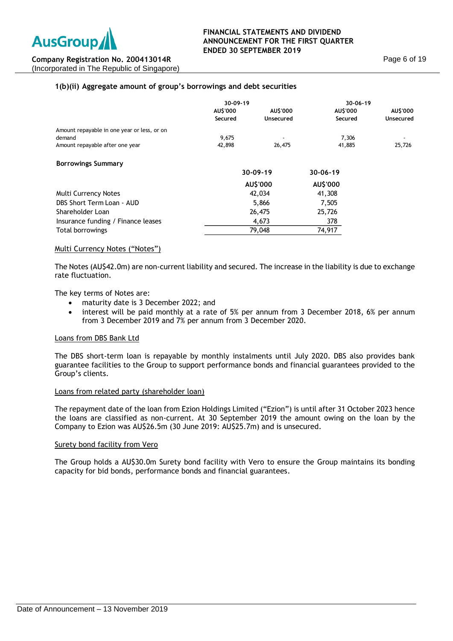# **1(b)(ii) Aggregate amount of group's borrowings and debt securities**

|                                             | $30 - 09 - 19$ |                |                |                 | $30 - 06 - 19$ |  |
|---------------------------------------------|----------------|----------------|----------------|-----------------|----------------|--|
|                                             | AU\$'000       | AU\$'000       | AU\$'000       | <b>AU\$'000</b> |                |  |
|                                             | Secured        | Unsecured      | Secured        | Unsecured       |                |  |
| Amount repayable in one year or less, or on |                |                |                |                 |                |  |
| demand                                      | 9,675          |                | 7,306          |                 |                |  |
| Amount repayable after one year             | 42,898         | 26,475         | 41,885         | 25,726          |                |  |
| <b>Borrowings Summary</b>                   |                |                |                |                 |                |  |
|                                             |                | $30 - 09 - 19$ | $30 - 06 - 19$ |                 |                |  |
|                                             |                | AU\$'000       | AU\$'000       |                 |                |  |
| <b>Multi Currency Notes</b>                 |                | 42,034         | 41,308         |                 |                |  |
| DBS Short Term Loan - AUD                   |                | 5,866          | 7,505          |                 |                |  |
| Shareholder Loan                            |                | 26,475         | 25,726         |                 |                |  |
| Insurance funding / Finance leases          |                | 4,673          | 378            |                 |                |  |
| Total borrowings                            |                | 79,048         | 74,917         |                 |                |  |
|                                             |                |                |                |                 |                |  |

### Multi Currency Notes ("Notes")

The Notes (AU\$42.0m) are non-current liability and secured. The increase in the liability is due to exchange rate fluctuation.

The key terms of Notes are:

- maturity date is 3 December 2022; and
- interest will be paid monthly at a rate of 5% per annum from 3 December 2018, 6% per annum from 3 December 2019 and 7% per annum from 3 December 2020.

### Loans from DBS Bank Ltd

The DBS short-term loan is repayable by monthly instalments until July 2020. DBS also provides bank guarantee facilities to the Group to support performance bonds and financial guarantees provided to the Group's clients.

### Loans from related party (shareholder loan)

The repayment date of the loan from Ezion Holdings Limited ("Ezion") is until after 31 October 2023 hence the loans are classified as non-current. At 30 September 2019 the amount owing on the loan by the Company to Ezion was AU\$26.5m (30 June 2019: AU\$25.7m) and is unsecured.

### Surety bond facility from Vero

The Group holds a AU\$30.0m Surety bond facility with Vero to ensure the Group maintains its bonding capacity for bid bonds, performance bonds and financial guarantees.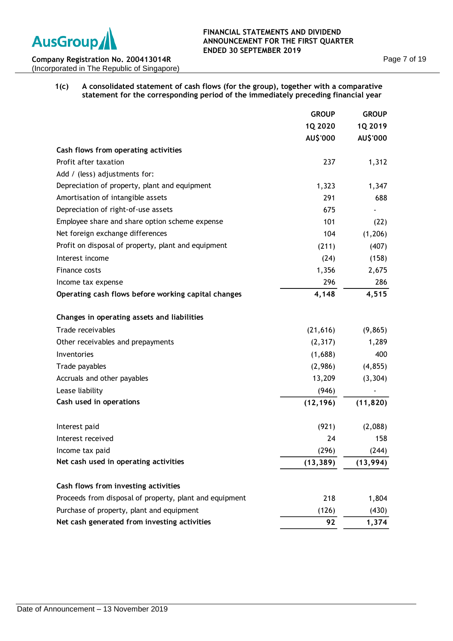

| 1(c) | A consolidated statement of cash flows (for the group), together with a comparative |
|------|-------------------------------------------------------------------------------------|
|      | statement for the corresponding period of the immediately preceding financial year  |

|                                                         | <b>GROUP</b> | <b>GROUP</b> |
|---------------------------------------------------------|--------------|--------------|
|                                                         | 1Q 2020      | 1Q 2019      |
|                                                         | AU\$'000     | AU\$'000     |
| Cash flows from operating activities                    |              |              |
| Profit after taxation                                   | 237          | 1,312        |
| Add / (less) adjustments for:                           |              |              |
| Depreciation of property, plant and equipment           | 1,323        | 1,347        |
| Amortisation of intangible assets                       | 291          | 688          |
| Depreciation of right-of-use assets                     | 675          |              |
| Employee share and share option scheme expense          | 101          | (22)         |
| Net foreign exchange differences                        | 104          | (1,206)      |
| Profit on disposal of property, plant and equipment     | (211)        | (407)        |
| Interest income                                         | (24)         | (158)        |
| Finance costs                                           | 1,356        | 2,675        |
| Income tax expense                                      | 296          | 286          |
| Operating cash flows before working capital changes     | 4,148        | 4,515        |
|                                                         |              |              |
| Changes in operating assets and liabilities             |              |              |
| Trade receivables                                       | (21, 616)    | (9,865)      |
| Other receivables and prepayments                       | (2,317)      | 1,289        |
| Inventories                                             | (1,688)      | 400          |
| Trade payables                                          | (2,986)      | (4, 855)     |
| Accruals and other payables                             | 13,209       | (3, 304)     |
| Lease liability                                         | (946)        |              |
| Cash used in operations                                 | (12, 196)    | (11, 820)    |
| Interest paid                                           | (921)        | (2,088)      |
| Interest received                                       | 24           | 158          |
| Income tax paid                                         | (296)        | (244)        |
| Net cash used in operating activities                   | (13, 389)    | (13, 994)    |
|                                                         |              |              |
| Cash flows from investing activities                    |              |              |
| Proceeds from disposal of property, plant and equipment | 218          | 1,804        |
| Purchase of property, plant and equipment               | (126)        | (430)        |
| Net cash generated from investing activities            | 92           | 1,374        |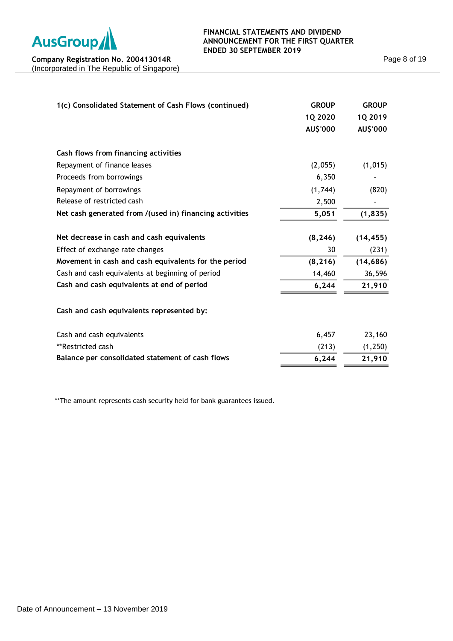

| 1(c) Consolidated Statement of Cash Flows (continued)   | <b>GROUP</b>    | <b>GROUP</b> |
|---------------------------------------------------------|-----------------|--------------|
|                                                         | 1Q 2020         | 1Q 2019      |
|                                                         | <b>AU\$'000</b> | AU\$'000     |
| Cash flows from financing activities                    |                 |              |
| Repayment of finance leases                             | (2,055)         | (1, 015)     |
| Proceeds from borrowings                                | 6,350           |              |
| Repayment of borrowings                                 | (1,744)         | (820)        |
| Release of restricted cash                              | 2,500           |              |
| Net cash generated from /(used in) financing activities | 5,051           | (1, 835)     |
| Net decrease in cash and cash equivalents               | (8, 246)        | (14, 455)    |
| Effect of exchange rate changes                         | 30              | (231)        |
| Movement in cash and cash equivalents for the period    | (8, 216)        | (14, 686)    |
| Cash and cash equivalents at beginning of period        | 14,460          | 36,596       |
| Cash and cash equivalents at end of period              | 6,244           | 21,910       |
| Cash and cash equivalents represented by:               |                 |              |
| Cash and cash equivalents                               | 6,457           | 23,160       |
| **Restricted cash                                       | (213)           | (1, 250)     |
| Balance per consolidated statement of cash flows        | 6,244           | 21,910       |
|                                                         |                 |              |

\*\*The amount represents cash security held for bank guarantees issued.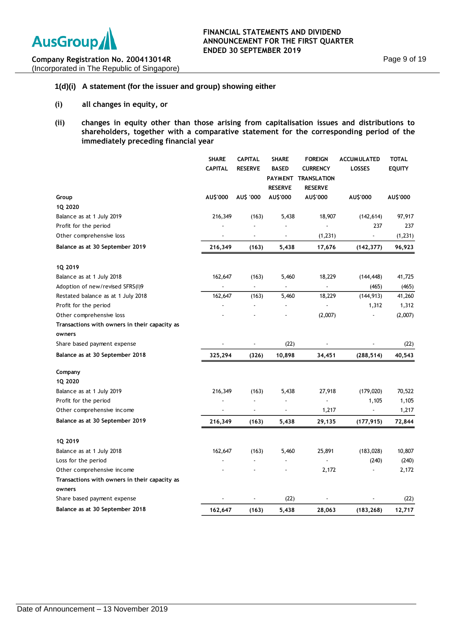

## **1(d)(i) A statement (for the issuer and group) showing either**

- **(i) all changes in equity, or**
- **(ii) changes in equity other than those arising from capitalisation issues and distributions to shareholders, together with a comparative statement for the corresponding period of the immediately preceding financial year**

|                                                         | <b>SHARE</b><br><b>CAPITAL</b> | <b>CAPITAL</b><br><b>RESERVE</b> | <b>SHARE</b><br><b>BASED</b> | <b>FOREIGN</b><br><b>CURRENCY</b><br>PAYMENT TRANSLATION | <b>ACCUMULATED</b><br><b>LOSSES</b> | <b>TOTAL</b><br><b>EQUITY</b> |
|---------------------------------------------------------|--------------------------------|----------------------------------|------------------------------|----------------------------------------------------------|-------------------------------------|-------------------------------|
|                                                         |                                |                                  | <b>RESERVE</b>               | <b>RESERVE</b>                                           |                                     |                               |
| Group<br>1Q 2020                                        | AU\$'000                       | AU\$ '000                        | AU\$'000                     | AU\$'000                                                 | AU\$'000                            | AU\$'000                      |
| Balance as at 1 July 2019                               | 216,349                        | (163)                            | 5,438                        | 18,907                                                   | (142, 614)                          | 97,917                        |
| Profit for the period                                   |                                | $\sim$                           |                              | $\overline{a}$                                           | 237                                 | 237                           |
| Other comprehensive loss                                |                                | $\overline{\phantom{a}}$         |                              | (1, 231)                                                 |                                     | (1, 231)                      |
| Balance as at 30 September 2019                         | 216,349                        | (163)                            | 5,438                        | 17,676                                                   | (142, 377)                          | 96,923                        |
| 1Q 2019                                                 |                                |                                  |                              |                                                          |                                     |                               |
| Balance as at 1 July 2018                               | 162,647                        | (163)                            | 5,460                        | 18,229                                                   | (144, 448)                          | 41,725                        |
| Adoption of new/revised SFRS(I)9                        |                                |                                  |                              |                                                          | (465)                               | (465)                         |
| Restated balance as at 1 July 2018                      | 162,647                        | (163)                            | 5,460                        | 18,229                                                   | (144, 913)                          | 41,260                        |
| Profit for the period                                   |                                |                                  |                              |                                                          | 1,312                               | 1,312                         |
| Other comprehensive loss                                |                                |                                  |                              | (2,007)                                                  |                                     | (2,007)                       |
| Transactions with owners in their capacity as<br>owners |                                |                                  |                              |                                                          |                                     |                               |
| Share based payment expense                             |                                |                                  | (22)                         |                                                          |                                     | (22)                          |
| Balance as at 30 September 2018                         | 325,294                        | (326)                            | 10,898                       | 34,451                                                   | (288, 514)                          | 40,543                        |
| Company                                                 |                                |                                  |                              |                                                          |                                     |                               |
| 1Q 2020                                                 |                                |                                  |                              |                                                          |                                     |                               |
| Balance as at 1 July 2019                               | 216,349                        | (163)                            | 5,438                        | 27,918                                                   | (179, 020)                          | 70,522                        |
| Profit for the period                                   |                                | J.                               |                              |                                                          | 1,105                               | 1,105                         |
| Other comprehensive income                              |                                |                                  |                              | 1,217                                                    |                                     | 1,217                         |
| Balance as at 30 September 2019                         | 216,349                        | (163)                            | 5,438                        | 29,135                                                   | (177, 915)                          | 72,844                        |
| 1Q 2019                                                 |                                |                                  |                              |                                                          |                                     |                               |
| Balance as at 1 July 2018                               | 162,647                        | (163)                            | 5,460                        | 25,891                                                   | (183, 028)                          | 10,807                        |
| Loss for the period                                     |                                | $\blacksquare$                   | $\blacksquare$               |                                                          | (240)                               | (240)                         |
| Other comprehensive income                              |                                |                                  |                              | 2,172                                                    |                                     | 2,172                         |
| Transactions with owners in their capacity as           |                                |                                  |                              |                                                          |                                     |                               |
| owners                                                  |                                |                                  |                              |                                                          |                                     |                               |
| Share based payment expense                             |                                |                                  | (22)                         |                                                          |                                     | (22)                          |
| Balance as at 30 September 2018                         | 162,647                        | (163)                            | 5,438                        | 28,063                                                   | (183, 268)                          | 12,717                        |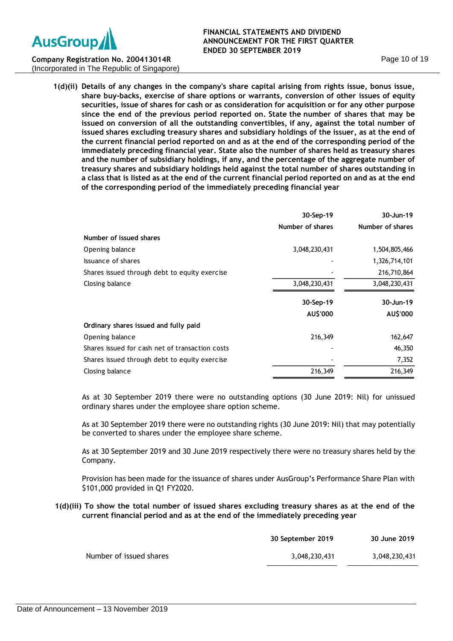

#### **FINANCIAL STATEMENTS AND DIVIDEND ANNOUNCEMENT FOR THE FIRST QUARTER ENDED 30 SEPTEMBER 2019**

**Company Registration No. 200413014R** (Incorporated in The Republic of Singapore)

> **1(d)(ii) Details of any changes in the company's share capital arising from rights issue, bonus issue, share buy-backs, exercise of share options or warrants, conversion of other issues of equity securities, issue of shares for cash or as consideration for acquisition or for any other purpose since the end of the previous period reported on. State the number of shares that may be issued on conversion of all the outstanding convertibles, if any, against the total number of issued shares excluding treasury shares and subsidiary holdings of the issuer, as at the end of the current financial period reported on and as at the end of the corresponding period of the immediately preceding financial year. State also the number of shares held as treasury shares and the number of subsidiary holdings, if any, and the percentage of the aggregate number of treasury shares and subsidiary holdings held against the total number of shares outstanding in a class that is listed as at the end of the current financial period reported on and as at the end of the corresponding period of the immediately preceding financial year**

|                                                 | 30-Sep-19        | 30-Jun-19        |
|-------------------------------------------------|------------------|------------------|
|                                                 | Number of shares | Number of shares |
| Number of issued shares                         |                  |                  |
| Opening balance                                 | 3,048,230,431    | 1,504,805,466    |
| Issuance of shares                              |                  | 1,326,714,101    |
| Shares issued through debt to equity exercise   |                  | 216,710,864      |
| Closing balance                                 | 3,048,230,431    | 3,048,230,431    |
|                                                 | 30-Sep-19        | 30-Jun-19        |
|                                                 | AU\$'000         | AU\$'000         |
| Ordinary shares issued and fully paid           |                  |                  |
| Opening balance                                 | 216,349          | 162,647          |
| Shares issued for cash net of transaction costs |                  | 46,350           |
| Shares issued through debt to equity exercise   |                  | 7,352            |
| Closing balance                                 | 216,349          | 216,349          |
|                                                 |                  |                  |

As at 30 September 2019 there were no outstanding options (30 June 2019: Nil) for unissued ordinary shares under the employee share option scheme.

As at 30 September 2019 there were no outstanding rights (30 June 2019: Nil) that may potentially be converted to shares under the employee share scheme.

As at 30 September 2019 and 30 June 2019 respectively there were no treasury shares held by the Company.

Provision has been made for the issuance of shares under AusGroup's Performance Share Plan with \$101,000 provided in Q1 FY2020.

### **1(d)(iii) To show the total number of issued shares excluding treasury shares as at the end of the current financial period and as at the end of the immediately preceding year**

|                         | 30 September 2019 | 30 June 2019  |
|-------------------------|-------------------|---------------|
| Number of issued shares | 3.048.230.431     | 3,048,230,431 |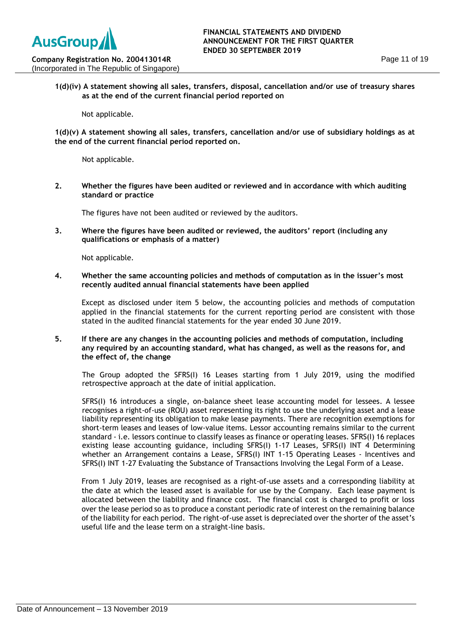**1(d)(iv) A statement showing all sales, transfers, disposal, cancellation and/or use of treasury shares as at the end of the current financial period reported on**

Not applicable.

**Company Registration No. 200413014R** (Incorporated in The Republic of Singapore)

> **1(d)(v) A statement showing all sales, transfers, cancellation and/or use of subsidiary holdings as at the end of the current financial period reported on.**

Not applicable.

**2. Whether the figures have been audited or reviewed and in accordance with which auditing standard or practice**

The figures have not been audited or reviewed by the auditors.

**3. Where the figures have been audited or reviewed, the auditors' report (including any qualifications or emphasis of a matter)**

Not applicable.

**4. Whether the same accounting policies and methods of computation as in the issuer's most recently audited annual financial statements have been applied**

Except as disclosed under item 5 below, the accounting policies and methods of computation applied in the financial statements for the current reporting period are consistent with those stated in the audited financial statements for the year ended 30 June 2019.

**5. If there are any changes in the accounting policies and methods of computation, including any required by an accounting standard, what has changed, as well as the reasons for, and the effect of, the change**

The Group adopted the SFRS(I) 16 Leases starting from 1 July 2019, using the modified retrospective approach at the date of initial application.

SFRS(I) 16 introduces a single, on-balance sheet lease accounting model for lessees. A lessee recognises a right-of-use (ROU) asset representing its right to use the underlying asset and a lease liability representing its obligation to make lease payments. There are recognition exemptions for short-term leases and leases of low-value items. Lessor accounting remains similar to the current standard - i.e. lessors continue to classify leases as finance or operating leases. SFRS(I) 16 replaces existing lease accounting guidance, including SFRS(I) 1-17 Leases, SFRS(I) INT 4 Determining whether an Arrangement contains a Lease, SFRS(I) INT 1-15 Operating Leases - Incentives and SFRS(I) INT 1-27 Evaluating the Substance of Transactions Involving the Legal Form of a Lease.

From 1 July 2019, leases are recognised as a right-of-use assets and a corresponding liability at the date at which the leased asset is available for use by the Company. Each lease payment is allocated between the liability and finance cost. The financial cost is charged to profit or loss over the lease period so as to produce a constant periodic rate of interest on the remaining balance of the liability for each period. The right-of-use asset is depreciated over the shorter of the asset's useful life and the lease term on a straight-line basis.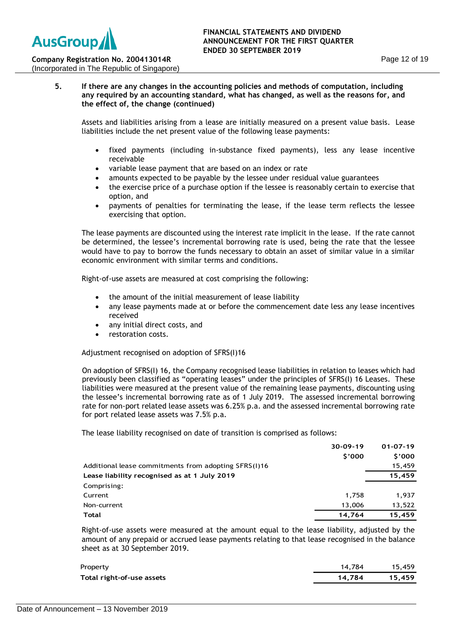## **5. If there are any changes in the accounting policies and methods of computation, including any required by an accounting standard, what has changed, as well as the reasons for, and the effect of, the change (continued)**

Assets and liabilities arising from a lease are initially measured on a present value basis. Lease liabilities include the net present value of the following lease payments:

- fixed payments (including in-substance fixed payments), less any lease incentive receivable
- variable lease payment that are based on an index or rate
- amounts expected to be payable by the lessee under residual value guarantees
- the exercise price of a purchase option if the lessee is reasonably certain to exercise that option, and
- payments of penalties for terminating the lease, if the lease term reflects the lessee exercising that option.

The lease payments are discounted using the interest rate implicit in the lease. If the rate cannot be determined, the lessee's incremental borrowing rate is used, being the rate that the lessee would have to pay to borrow the funds necessary to obtain an asset of similar value in a similar economic environment with similar terms and conditions.

Right-of-use assets are measured at cost comprising the following:

- the amount of the initial measurement of lease liability
- any lease payments made at or before the commencement date less any lease incentives received
- any initial direct costs, and
- restoration costs.

Adjustment recognised on adoption of SFRS(I)16

On adoption of SFRS(I) 16, the Company recognised lease liabilities in relation to leases which had previously been classified as "operating leases" under the principles of SFRS(I) 16 Leases. These liabilities were measured at the present value of the remaining lease payments, discounting using the lessee's incremental borrowing rate as of 1 July 2019. The assessed incremental borrowing rate for non-port related lease assets was 6.25% p.a. and the assessed incremental borrowing rate for port related lease assets was 7.5% p.a.

The lease liability recognised on date of transition is comprised as follows:

|                                                      | 30-09-19 | $01 - 07 - 19$ |
|------------------------------------------------------|----------|----------------|
|                                                      | \$'000   | \$'000         |
| Additional lease commitments from adopting SFRS(I)16 |          | 15,459         |
| Lease liability recognised as at 1 July 2019         |          | 15,459         |
| Comprising:                                          |          |                |
| Current                                              | 1.758    | 1.937          |
| Non-current                                          | 13,006   | 13,522         |
| Total                                                | 14,764   | 15.459         |

Right-of-use assets were measured at the amount equal to the lease liability, adjusted by the amount of any prepaid or accrued lease payments relating to that lease recognised in the balance sheet as at 30 September 2019.

| Property                  | 14.784 | 15.459 |
|---------------------------|--------|--------|
| Total right-of-use assets | 14.784 | 15.459 |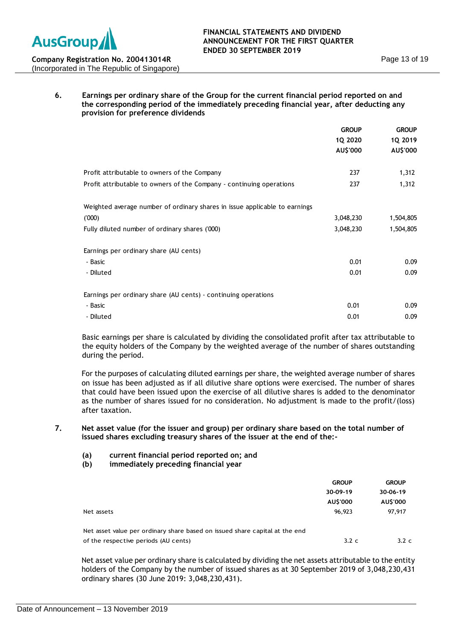

## **6. Earnings per ordinary share of the Group for the current financial period reported on and the corresponding period of the immediately preceding financial year, after deducting any provision for preference dividends**

|                                                                            | <b>GROUP</b> | <b>GROUP</b><br>1Q 2019<br>AU\$'000 |
|----------------------------------------------------------------------------|--------------|-------------------------------------|
|                                                                            | 1Q 2020      |                                     |
|                                                                            | AU\$'000     |                                     |
|                                                                            |              |                                     |
| Profit attributable to owners of the Company                               | 237          | 1,312                               |
| Profit attributable to owners of the Company - continuing operations       | 237          | 1,312                               |
|                                                                            |              |                                     |
| Weighted average number of ordinary shares in issue applicable to earnings |              |                                     |
| (000)                                                                      | 3,048,230    | 1,504,805                           |
| Fully diluted number of ordinary shares ('000)                             | 3,048,230    | 1,504,805                           |
|                                                                            |              |                                     |
| Earnings per ordinary share (AU cents)                                     |              |                                     |
| - Basic                                                                    | 0.01         | 0.09                                |
| - Diluted                                                                  | 0.01         | 0.09                                |
|                                                                            |              |                                     |
| Earnings per ordinary share (AU cents) - continuing operations             |              |                                     |
| - Basic                                                                    | 0.01         | 0.09                                |
| - Diluted                                                                  | 0.01         | 0.09                                |

Basic earnings per share is calculated by dividing the consolidated profit after tax attributable to the equity holders of the Company by the weighted average of the number of shares outstanding during the period.

For the purposes of calculating diluted earnings per share, the weighted average number of shares on issue has been adjusted as if all dilutive share options were exercised. The number of shares that could have been issued upon the exercise of all dilutive shares is added to the denominator as the number of shares issued for no consideration. No adjustment is made to the profit/(loss) after taxation.

## **7. Net asset value (for the issuer and group) per ordinary share based on the total number of issued shares excluding treasury shares of the issuer at the end of the:-**

- **(a) current financial period reported on; and**
- **(b) immediately preceding financial year**

|                                                                             | <b>GROUP</b><br>30-09-19<br>AU\$'000 | <b>GROUP</b><br>30-06-19<br>AU\$'000 |
|-----------------------------------------------------------------------------|--------------------------------------|--------------------------------------|
| Net assets                                                                  | 96,923                               | 97,917                               |
| Net asset value per ordinary share based on issued share capital at the end |                                      |                                      |
| of the respective periods (AU cents)                                        | $3.2\ c$                             | 3.2c                                 |

Net asset value per ordinary share is calculated by dividing the net assets attributable to the entity holders of the Company by the number of issued shares as at 30 September 2019 of 3,048,230,431 ordinary shares (30 June 2019: 3,048,230,431).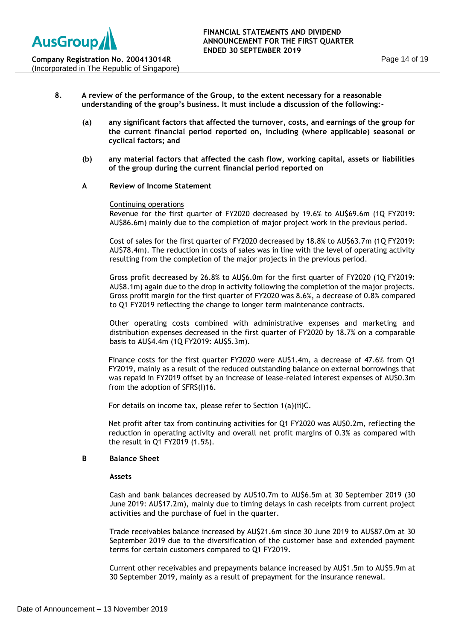- **8. A review of the performance of the Group, to the extent necessary for a reasonable understanding of the group's business. It must include a discussion of the following:-**
	- **(a) any significant factors that affected the turnover, costs, and earnings of the group for the current financial period reported on, including (where applicable) seasonal or cyclical factors; and**
	- **(b) any material factors that affected the cash flow, working capital, assets or liabilities of the group during the current financial period reported on**

## **A Review of Income Statement**

### Continuing operations

Revenue for the first quarter of FY2020 decreased by 19.6% to AU\$69.6m (1Q FY2019: AU\$86.6m) mainly due to the completion of major project work in the previous period.

Cost of sales for the first quarter of FY2020 decreased by 18.8% to AU\$63.7m (1Q FY2019: AU\$78.4m). The reduction in costs of sales was in line with the level of operating activity resulting from the completion of the major projects in the previous period.

Gross profit decreased by 26.8% to AU\$6.0m for the first quarter of FY2020 (1Q FY2019: AU\$8.1m) again due to the drop in activity following the completion of the major projects. Gross profit margin for the first quarter of FY2020 was 8.6%, a decrease of 0.8% compared to Q1 FY2019 reflecting the change to longer term maintenance contracts.

Other operating costs combined with administrative expenses and marketing and distribution expenses decreased in the first quarter of FY2020 by 18.7% on a comparable basis to AU\$4.4m (1Q FY2019: AU\$5.3m).

Finance costs for the first quarter FY2020 were AU\$1.4m, a decrease of 47.6% from Q1 FY2019, mainly as a result of the reduced outstanding balance on external borrowings that was repaid in FY2019 offset by an increase of lease-related interest expenses of AU\$0.3m from the adoption of SFRS(I)16.

For details on income tax, please refer to Section 1(a)(ii)C.

Net profit after tax from continuing activities for Q1 FY2020 was AU\$0.2m, reflecting the reduction in operating activity and overall net profit margins of 0.3% as compared with the result in Q1 FY2019 (1.5%).

### **B Balance Sheet**

### **Assets**

Cash and bank balances decreased by AU\$10.7m to AU\$6.5m at 30 September 2019 (30 June 2019: AU\$17.2m), mainly due to timing delays in cash receipts from current project activities and the purchase of fuel in the quarter.

Trade receivables balance increased by AU\$21.6m since 30 June 2019 to AU\$87.0m at 30 September 2019 due to the diversification of the customer base and extended payment terms for certain customers compared to Q1 FY2019.

Current other receivables and prepayments balance increased by AU\$1.5m to AU\$5.9m at 30 September 2019, mainly as a result of prepayment for the insurance renewal.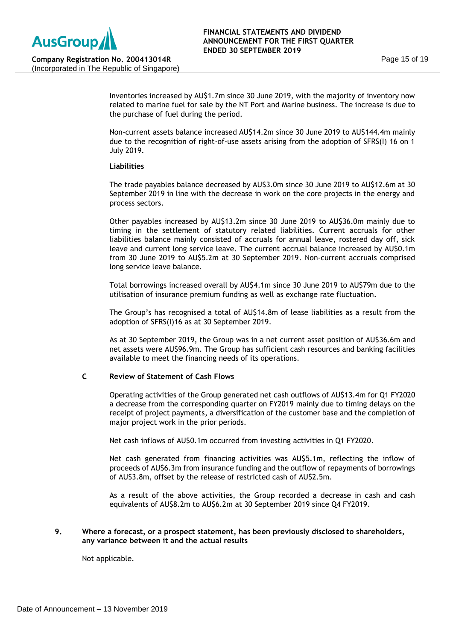Inventories increased by AU\$1.7m since 30 June 2019, with the majority of inventory now related to marine fuel for sale by the NT Port and Marine business. The increase is due to the purchase of fuel during the period.

Non-current assets balance increased AU\$14.2m since 30 June 2019 to AU\$144.4m mainly due to the recognition of right-of-use assets arising from the adoption of SFRS(I) 16 on 1 July 2019.

## **Liabilities**

The trade payables balance decreased by AU\$3.0m since 30 June 2019 to AU\$12.6m at 30 September 2019 in line with the decrease in work on the core projects in the energy and process sectors.

Other payables increased by AU\$13.2m since 30 June 2019 to AU\$36.0m mainly due to timing in the settlement of statutory related liabilities. Current accruals for other liabilities balance mainly consisted of accruals for annual leave, rostered day off, sick leave and current long service leave. The current accrual balance increased by AU\$0.1m from 30 June 2019 to AU\$5.2m at 30 September 2019. Non-current accruals comprised long service leave balance.

Total borrowings increased overall by AU\$4.1m since 30 June 2019 to AU\$79m due to the utilisation of insurance premium funding as well as exchange rate fluctuation.

The Group's has recognised a total of AU\$14.8m of lease liabilities as a result from the adoption of SFRS(I)16 as at 30 September 2019.

As at 30 September 2019, the Group was in a net current asset position of AU\$36.6m and net assets were AU\$96.9m. The Group has sufficient cash resources and banking facilities available to meet the financing needs of its operations.

## **C Review of Statement of Cash Flows**

Operating activities of the Group generated net cash outflows of AU\$13.4m for Q1 FY2020 a decrease from the corresponding quarter on FY2019 mainly due to timing delays on the receipt of project payments, a diversification of the customer base and the completion of major project work in the prior periods.

Net cash inflows of AU\$0.1m occurred from investing activities in Q1 FY2020.

Net cash generated from financing activities was AU\$5.1m, reflecting the inflow of proceeds of AU\$6.3m from insurance funding and the outflow of repayments of borrowings of AU\$3.8m, offset by the release of restricted cash of AU\$2.5m.

As a result of the above activities, the Group recorded a decrease in cash and cash equivalents of AU\$8.2m to AU\$6.2m at 30 September 2019 since Q4 FY2019.

## **9. Where a forecast, or a prospect statement, has been previously disclosed to shareholders, any variance between it and the actual results**

Not applicable.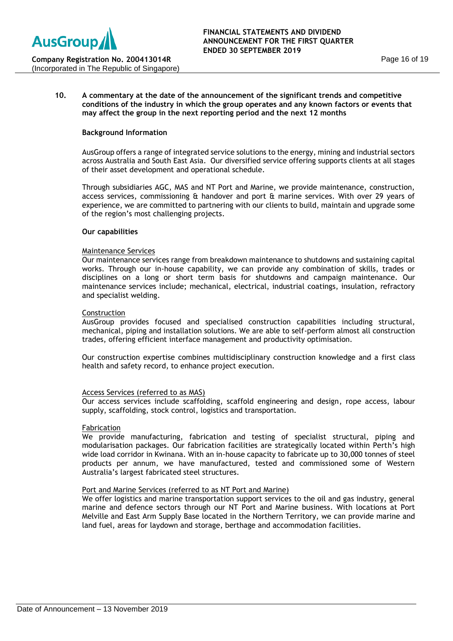(Incorporated in The Republic of Singapore)

## **10. A commentary at the date of the announcement of the significant trends and competitive conditions of the industry in which the group operates and any known factors or events that may affect the group in the next reporting period and the next 12 months**

## **Background Information**

AusGroup offers a range of integrated service solutions to the energy, mining and industrial sectors across Australia and South East Asia. Our diversified service offering supports clients at all stages of their asset development and operational schedule.

Through subsidiaries AGC, MAS and NT Port and Marine, we provide maintenance, construction, access services, commissioning & handover and port & marine services. With over 29 years of experience, we are committed to partnering with our clients to build, maintain and upgrade some of the region's most challenging projects.

### **Our capabilities**

### Maintenance Services

Our maintenance services range from breakdown maintenance to shutdowns and sustaining capital works. Through our in-house capability, we can provide any combination of skills, trades or disciplines on a long or short term basis for shutdowns and campaign maintenance. Our maintenance services include; mechanical, electrical, industrial coatings, insulation, refractory and specialist welding.

### Construction

AusGroup provides focused and specialised construction capabilities including structural, mechanical, piping and installation solutions. We are able to self-perform almost all construction trades, offering efficient interface management and productivity optimisation.

Our construction expertise combines multidisciplinary construction knowledge and a first class health and safety record, to enhance project execution.

### Access Services (referred to as MAS)

Our access services include scaffolding, scaffold engineering and design, rope access, labour supply, scaffolding, stock control, logistics and transportation.

### Fabrication

We provide manufacturing, fabrication and testing of specialist structural, piping and modularisation packages. Our fabrication facilities are strategically located within Perth's high wide load corridor in Kwinana. With an in-house capacity to fabricate up to 30,000 tonnes of steel products per annum, we have manufactured, tested and commissioned some of Western Australia's largest fabricated steel structures.

### Port and Marine Services (referred to as NT Port and Marine)

We offer logistics and marine transportation support services to the oil and gas industry, general marine and defence sectors through our NT Port and Marine business. With locations at Port Melville and East Arm Supply Base located in the Northern Territory, we can provide marine and land fuel, areas for laydown and storage, berthage and accommodation facilities.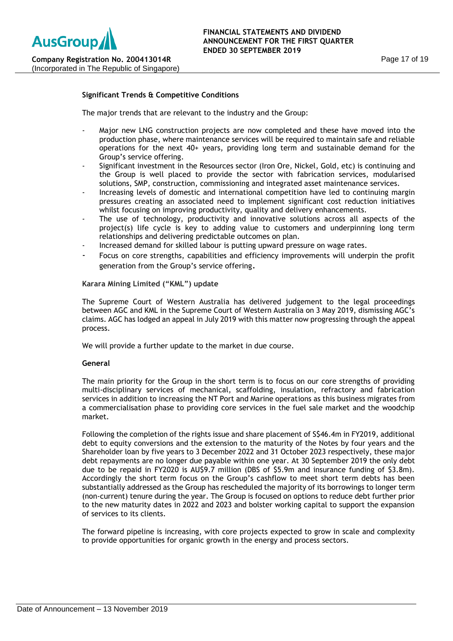## **Significant Trends & Competitive Conditions**

The major trends that are relevant to the industry and the Group:

- Major new LNG construction projects are now completed and these have moved into the production phase, where maintenance services will be required to maintain safe and reliable operations for the next 40+ years, providing long term and sustainable demand for the Group's service offering.
- Significant investment in the Resources sector (Iron Ore, Nickel, Gold, etc) is continuing and the Group is well placed to provide the sector with fabrication services, modularised solutions, SMP, construction, commissioning and integrated asset maintenance services.
- Increasing levels of domestic and international competition have led to continuing margin pressures creating an associated need to implement significant cost reduction initiatives whilst focusing on improving productivity, quality and delivery enhancements.
- The use of technology, productivity and innovative solutions across all aspects of the project(s) life cycle is key to adding value to customers and underpinning long term relationships and delivering predictable outcomes on plan.
- Increased demand for skilled labour is putting upward pressure on wage rates.
- Focus on core strengths, capabilities and efficiency improvements will underpin the profit generation from the Group's service offering.

**Karara Mining Limited ("KML") update**

The Supreme Court of Western Australia has delivered judgement to the legal proceedings between AGC and KML in the Supreme Court of Western Australia on 3 May 2019, dismissing AGC's claims. AGC has lodged an appeal in July 2019 with this matter now progressing through the appeal process.

We will provide a further update to the market in due course.

### **General**

The main priority for the Group in the short term is to focus on our core strengths of providing multi-disciplinary services of mechanical, scaffolding, insulation, refractory and fabrication services in addition to increasing the NT Port and Marine operations as this business migrates from a commercialisation phase to providing core services in the fuel sale market and the woodchip market.

Following the completion of the rights issue and share placement of S\$46.4m in FY2019, additional debt to equity conversions and the extension to the maturity of the Notes by four years and the Shareholder loan by five years to 3 December 2022 and 31 October 2023 respectively, these major debt repayments are no longer due payable within one year. At 30 September 2019 the only debt due to be repaid in FY2020 is AU\$9.7 million (DBS of \$5.9m and insurance funding of \$3.8m). Accordingly the short term focus on the Group's cashflow to meet short term debts has been substantially addressed as the Group has rescheduled the majority of its borrowings to longer term (non-current) tenure during the year. The Group is focused on options to reduce debt further prior to the new maturity dates in 2022 and 2023 and bolster working capital to support the expansion of services to its clients.

The forward pipeline is increasing, with core projects expected to grow in scale and complexity to provide opportunities for organic growth in the energy and process sectors.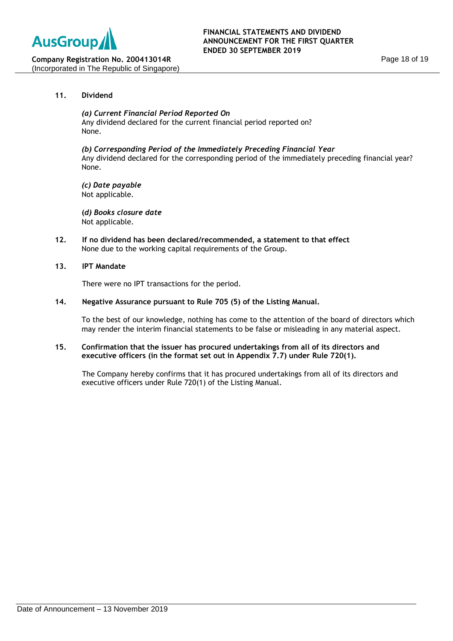

## **11. Dividend**

*(a) Current Financial Period Reported On* Any dividend declared for the current financial period reported on? None.

*(b) Corresponding Period of the Immediately Preceding Financial Year* Any dividend declared for the corresponding period of the immediately preceding financial year? None.

*(c) Date payable* Not applicable.

**(***d) Books closure date* Not applicable.

**12. If no dividend has been declared/recommended, a statement to that effect** None due to the working capital requirements of the Group.

### **13. IPT Mandate**

There were no IPT transactions for the period.

## **14. Negative Assurance pursuant to Rule 705 (5) of the Listing Manual.**

To the best of our knowledge, nothing has come to the attention of the board of directors which may render the interim financial statements to be false or misleading in any material aspect.

## **15. Confirmation that the issuer has procured undertakings from all of its directors and executive officers (in the format set out in Appendix 7.7) under Rule 720(1).**

The Company hereby confirms that it has procured undertakings from all of its directors and executive officers under Rule 720(1) of the Listing Manual.